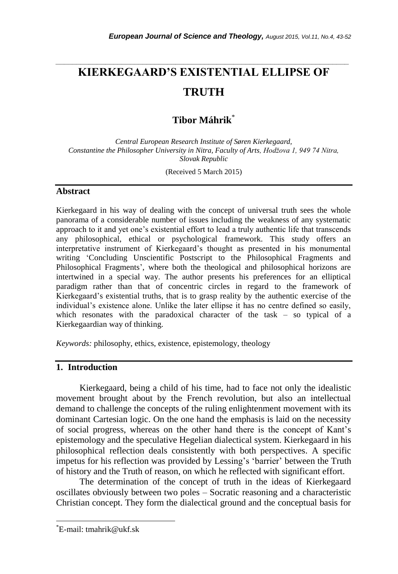# **KIERKEGAARD'S EXISTENTIAL ELLIPSE OF TRUTH**

*\_\_\_\_\_\_\_\_\_\_\_\_\_\_\_\_\_\_\_\_\_\_\_\_\_\_\_\_\_\_\_\_\_\_\_\_\_\_\_\_\_\_\_\_\_\_\_\_\_\_\_\_\_\_\_\_\_\_\_\_\_\_\_\_\_\_\_\_\_\_\_*

**Tibor Máhrik**\*

*Central European Research Institute of Søren Kierkegaard, Constantine the Philosopher University in Nitra, Faculty of Arts, Hodžova 1, 949 74 Nitra, Slovak Republic*

(Received 5 March 2015)

#### **Abstract**

Kierkegaard in his way of dealing with the concept of universal truth sees the whole panorama of a considerable number of issues including the weakness of any systematic approach to it and yet one's existential effort to lead a truly authentic life that transcends any philosophical, ethical or psychological framework. This study offers an interpretative instrument of Kierkegaard's thought as presented in his monumental writing ‗Concluding Unscientific Postscript to the Philosophical Fragments and Philosophical Fragments', where both the theological and philosophical horizons are intertwined in a special way. The author presents his preferences for an elliptical paradigm rather than that of concentric circles in regard to the framework of Kierkegaard's existential truths, that is to grasp reality by the authentic exercise of the individual's existence alone. Unlike the later ellipse it has no centre defined so easily, which resonates with the paradoxical character of the task – so typical of a Kierkegaardian way of thinking.

*Keywords:* philosophy, ethics, existence, epistemology, theology

## **1. Introduction**

Kierkegaard, being a child of his time, had to face not only the idealistic movement brought about by the French revolution, but also an intellectual demand to challenge the concepts of the ruling enlightenment movement with its dominant Cartesian logic. On the one hand the emphasis is laid on the necessity of social progress, whereas on the other hand there is the concept of Kant's epistemology and the speculative Hegelian dialectical system. Kierkegaard in his philosophical reflection deals consistently with both perspectives. A specific impetus for his reflection was provided by Lessing's ‗barrier' between the Truth of history and the Truth of reason, on which he reflected with significant effort.

The determination of the concept of truth in the ideas of Kierkegaard oscillates obviously between two poles – Socratic reasoning and a characteristic Christian concept. They form the dialectical ground and the conceptual basis for

l

<sup>\*</sup>E-mail: tmahrik@ukf.sk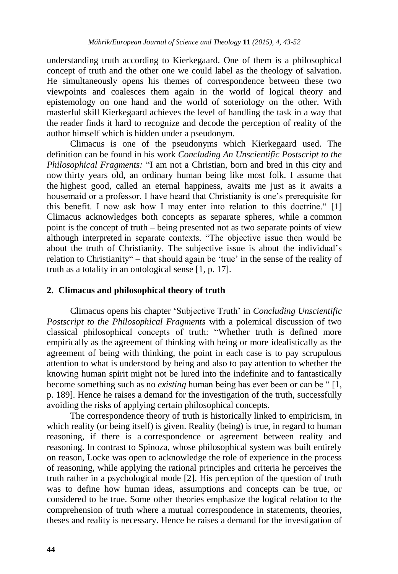understanding truth according to Kierkegaard. One of them is a philosophical concept of truth and the other one we could label as the theology of salvation. He simultaneously opens his themes of correspondence between these two viewpoints and coalesces them again in the world of logical theory and epistemology on one hand and the world of soteriology on the other. With masterful skill Kierkegaard achieves the level of handling the task in a way that the reader finds it hard to recognize and decode the perception of reality of the author himself which is hidden under a pseudonym.

Climacus is one of the pseudonyms which Kierkegaard used. The definition can be found in his work *Concluding An Unscientific Postscript to the Philosophical Fragments:* "I am not a Christian, born and bred in this city and now thirty years old, an ordinary human being like most folk. I assume that the highest good, called an eternal happiness, awaits me just as it awaits a housemaid or a professor. I have heard that Christianity is one's prerequisite for this benefit. I now ask how I may enter into relation to this doctrine."  $[1]$ Climacus acknowledges both concepts as separate spheres, while a common point is the concept of truth – being presented not as two separate points of view although interpreted in separate contexts. "The objective issue then would be about the truth of Christianity. The subjective issue is about the individual's relation to Christianity" – that should again be 'true' in the sense of the reality of truth as a totality in an ontological sense [1, p. 17].

### **2. Climacus and philosophical theory of truth**

Climacus opens his chapter ‗Subjective Truth' in *Concluding Unscientific Postscript to the Philosophical Fragments* with a polemical discussion of two classical philosophical concepts of truth: "Whether truth is defined more empirically as the agreement of thinking with being or more idealistically as the agreement of being with thinking, the point in each case is to pay scrupulous attention to what is understood by being and also to pay attention to whether the knowing human spirit might not be lured into the indefinite and to fantastically become something such as no *existing* human being has ever been or can be "[1, p. 189]. Hence he raises a demand for the investigation of the truth, successfully avoiding the risks of applying certain philosophical concepts.

The correspondence theory of truth is historically linked to empiricism, in which reality (or being itself) is given. Reality (being) is true, in regard to human reasoning, if there is a correspondence or agreement between reality and reasoning. In contrast to Spinoza, whose philosophical system was built entirely on reason, Locke was open to acknowledge the role of experience in the process of reasoning, while applying the rational principles and criteria he perceives the truth rather in a psychological mode [2]. His perception of the question of truth was to define how human ideas, assumptions and concepts can be true, or considered to be true. Some other theories emphasize the logical relation to the comprehension of truth where a mutual correspondence in statements, theories, theses and reality is necessary. Hence he raises a demand for the investigation of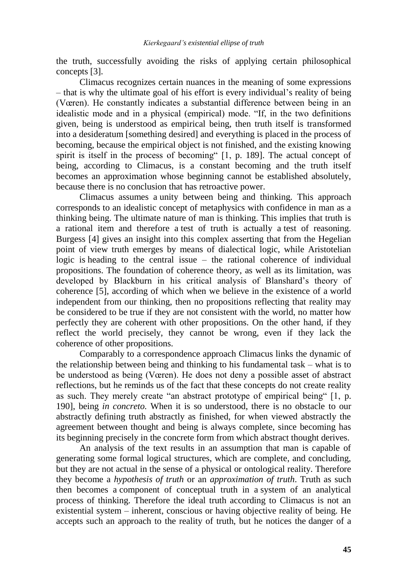the truth, successfully avoiding the risks of applying certain philosophical concepts [3].

Climacus recognizes certain nuances in the meaning of some expressions – that is why the ultimate goal of his effort is every individual's reality of being (Vœren). He constantly indicates a substantial difference between being in an idealistic mode and in a physical (empirical) mode. "If, in the two definitions given, being is understood as empirical being, then truth itself is transformed into a desideratum [something desired] and everything is placed in the process of becoming, because the empirical object is not finished, and the existing knowing spirit is itself in the process of becoming  $[1, p. 189]$ . The actual concept of being, according to Climacus, is a constant becoming and the truth itself becomes an approximation whose beginning cannot be established absolutely, because there is no conclusion that has retroactive power.

Climacus assumes a unity between being and thinking. This approach corresponds to an idealistic concept of metaphysics with confidence in man as a thinking being. The ultimate nature of man is thinking. This implies that truth is a rational item and therefore a test of truth is actually a test of reasoning. Burgess [4] gives an insight into this complex asserting that from the Hegelian point of view truth emerges by means of dialectical logic, while Aristotelian logic is heading to the central issue – the rational coherence of individual propositions. The foundation of coherence theory, as well as its limitation, was developed by Blackburn in his critical analysis of Blanshard's theory of coherence [5], according of which when we believe in the existence of a world independent from our thinking, then no propositions reflecting that reality may be considered to be true if they are not consistent with the world, no matter how perfectly they are coherent with other propositions. On the other hand, if they reflect the world precisely, they cannot be wrong, even if they lack the coherence of other propositions.

Comparably to a correspondence approach Climacus links the dynamic of the relationship between being and thinking to his fundamental task – what is to be understood as being (Vœren). He does not deny a possible asset of abstract reflections, but he reminds us of the fact that these concepts do not create reality as such. They merely create "an abstract prototype of empirical being"  $[1, p$ . 190], being *in concreto.* When it is so understood, there is no obstacle to our abstractly defining truth abstractly as finished, for when viewed abstractly the agreement between thought and being is always complete, since becoming has its beginning precisely in the concrete form from which abstract thought derives.

An analysis of the text results in an assumption that man is capable of generating some formal logical structures, which are complete, and concluding, but they are not actual in the sense of a physical or ontological reality. Therefore they become a *hypothesis of truth* or an *approximation of truth*. Truth as such then becomes a component of conceptual truth in a system of an analytical process of thinking. Therefore the ideal truth according to Climacus is not an existential system – inherent, conscious or having objective reality of being. He accepts such an approach to the reality of truth, but he notices the danger of a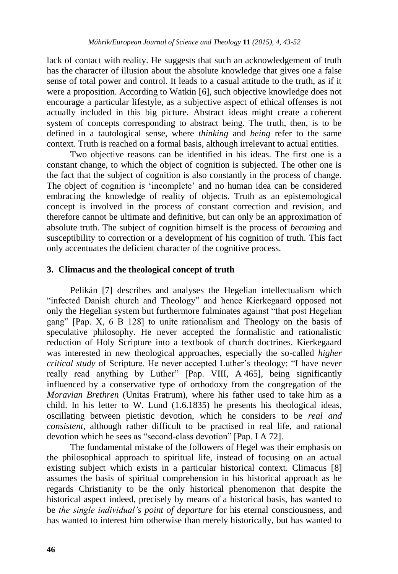lack of contact with reality. He suggests that such an acknowledgement of truth has the character of illusion about the absolute knowledge that gives one a false sense of total power and control. It leads to a casual attitude to the truth, as if it were a proposition. According to Watkin [6], such objective knowledge does not encourage a particular lifestyle, as a subjective aspect of ethical offenses is not actually included in this big picture. Abstract ideas might create a coherent system of concepts corresponding to abstract being. The truth, then, is to be defined in a tautological sense, where *thinking* and *being* refer to the same context. Truth is reached on a formal basis, although irrelevant to actual entities.

Two objective reasons can be identified in his ideas. The first one is a constant change, to which the object of cognition is subjected. The other one is the fact that the subject of cognition is also constantly in the process of change. The object of cognition is 'incomplete' and no human idea can be considered embracing the knowledge of reality of objects. Truth as an epistemological concept is involved in the process of constant correction and revision, and therefore cannot be ultimate and definitive, but can only be an approximation of absolute truth. The subject of cognition himself is the process of *becoming* and susceptibility to correction or a development of his cognition of truth. This fact only accentuates the deficient character of the cognitive process.

## **3. Climacus and the theological concept of truth**

Pelikán [7] describes and analyses the Hegelian intellectualism which "infected Danish church and Theology" and hence Kierkegaard opposed not only the Hegelian system but furthermore fulminates against "that post Hegelian gang"  $[Pap. X, 6 B 128]$  to unite rationalism and Theology on the basis of speculative philosophy. He never accepted the formalistic and rationalistic reduction of Holy Scripture into a textbook of church doctrines. Kierkegaard was interested in new theological approaches, especially the so-called *higher critical study* of Scripture. He never accepted Luther's theology: "I have never really read anything by Luther" [Pap. VIII, A 465], being significantly influenced by a conservative type of orthodoxy from the congregation of the *Moravian Brethren* (Unitas Fratrum), where his father used to take him as a child. In his letter to W. Lund (1.6.1835) he presents his theological ideas, oscillating between pietistic devotion, which he considers to be *real and consistent*, although rather difficult to be practised in real life, and rational devotion which he sees as "second-class devotion" [Pap. I A 72].

The fundamental mistake of the followers of Hegel was their emphasis on the philosophical approach to spiritual life, instead of focusing on an actual existing subject which exists in a particular historical context. Climacus [8] assumes the basis of spiritual comprehension in his historical approach as he regards Christianity to be the only historical phenomenon that despite the historical aspect indeed, precisely by means of a historical basis, has wanted to be *the single individual's point of departure* for his eternal consciousness, and has wanted to interest him otherwise than merely historically, but has wanted to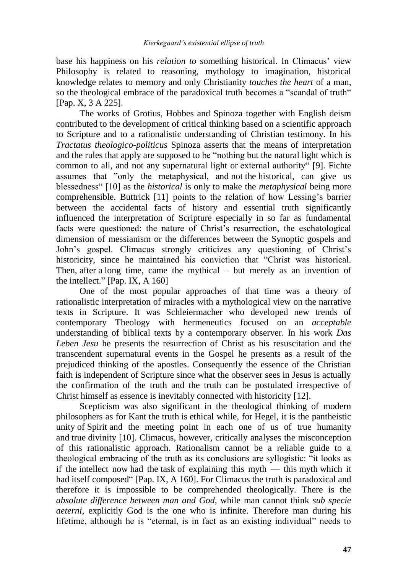base his happiness on his *relation to* something historical. In Climacus' view Philosophy is related to reasoning, mythology to imagination, historical knowledge relates to memory and only Christianity *touches the heart* of a man, so the theological embrace of the paradoxical truth becomes a "scandal of truth" [Pap. X, 3 A 225].

The works of Grotius, Hobbes and Spinoza together with English deism contributed to the development of critical thinking based on a scientific approach to Scripture and to a rationalistic understanding of Christian testimony. In his *Tractatus theologico-politicus* Spinoza asserts that the means of interpretation and the rules that apply are supposed to be "nothing but the natural light which is common to all, and not any supernatural light or external authority [9]. Fichte assumes that "only the metaphysical, and not the historical, can give us blessedness― [10] as the *historical* is only to make the *metaphysical* being more comprehensible. Buttrick [11] points to the relation of how Lessing's barrier between the accidental facts of history and essential truth significantly influenced the interpretation of Scripture especially in so far as fundamental facts were questioned: the nature of Christ's resurrection, the eschatological dimension of messianism or the differences between the Synoptic gospels and John's gospel. Climacus strongly criticizes any questioning of Christ's historicity, since he maintained his conviction that "Christ was historical. Then, after a long time, came the mythical – but merely as an invention of the intellect."  $[Pap. IX, A 160]$ 

One of the most popular approaches of that time was a theory of rationalistic interpretation of miracles with a mythological view on the narrative texts in Scripture. It was Schleiermacher who developed new trends of contemporary Theology with hermeneutics focused on an *acceptable* understanding of biblical texts by a contemporary observer. In his work *Das Leben Jesu* he presents the resurrection of Christ as his resuscitation and the transcendent supernatural events in the Gospel he presents as a result of the prejudiced thinking of the apostles. Consequently the essence of the Christian faith is independent of Scripture since what the observer sees in Jesus is actually the confirmation of the truth and the truth can be postulated irrespective of Christ himself as essence is inevitably connected with historicity [12].

Scepticism was also significant in the theological thinking of modern philosophers as for Kant the truth is ethical while, for Hegel, it is the pantheistic unity of Spirit and the meeting point in each one of us of true humanity and true divinity [10]. Climacus, however, critically analyses the misconception of this rationalistic approach. Rationalism cannot be a reliable guide to a theological embracing of the truth as its conclusions are syllogistic: "it looks as if the intellect now had the task of explaining this myth — this myth which it had itself composed" [Pap. IX, A 160]. For Climacus the truth is paradoxical and therefore it is impossible to be comprehended theologically. There is the *absolute difference between man and God*, while man cannot think *sub specie aeterni*, explicitly God is the one who is infinite. Therefore man during his lifetime, although he is "eternal, is in fact as an existing individual" needs to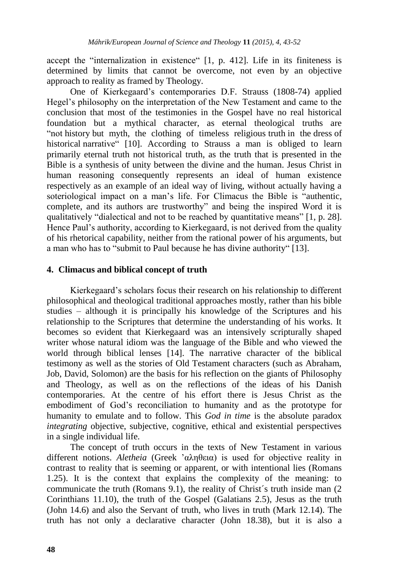accept the "internalization in existence"  $[1, p. 412]$ . Life in its finiteness is determined by limits that cannot be overcome, not even by an objective approach to reality as framed by Theology.

One of Kierkegaard's contemporaries D.F. Strauss (1808-74) applied Hegel's philosophy on the interpretation of the New Testament and came to the conclusion that most of the testimonies in the Gospel have no real historical foundation but a mythical character, as eternal theological truths are ―not history but myth, the clothing of timeless religious truth in the dress of historical narrative" [10]. According to Strauss a man is obliged to learn primarily eternal truth not historical truth, as the truth that is presented in the Bible is a synthesis of unity between the divine and the human. Jesus Christ in human reasoning consequently represents an ideal of human existence respectively as an example of an ideal way of living, without actually having a soteriological impact on a man's life. For Climacus the Bible is "authentic, complete, and its authors are trustworthy" and being the inspired Word it is qualitatively "dialectical and not to be reached by quantitative means" [1, p. 28]. Hence Paul's authority, according to Kierkegaard, is not derived from the quality of his rhetorical capability, neither from the rational power of his arguments, but a man who has to "submit to Paul because he has divine authority" [13].

#### **4. Climacus and biblical concept of truth**

Kierkegaard's scholars focus their research on his relationship to different philosophical and theological traditional approaches mostly, rather than his bible studies – although it is principally his knowledge of the Scriptures and his relationship to the Scriptures that determine the understanding of his works. It becomes so evident that Kierkegaard was an intensively scripturally shaped writer whose natural idiom was the language of the Bible and who viewed the world through biblical lenses [14]. The narrative character of the biblical testimony as well as the stories of Old Testament characters (such as Abraham, Job, David, Solomon) are the basis for his reflection on the giants of Philosophy and Theology, as well as on the reflections of the ideas of his Danish contemporaries. At the centre of his effort there is Jesus Christ as the embodiment of God's reconciliation to humanity and as the prototype for humanity to emulate and to follow. This *God in time* is the absolute paradox *integrating* objective, subjective, cognitive, ethical and existential perspectives in a single individual life.

The concept of truth occurs in the texts of New Testament in various different notions. *Aletheia* (Greek 'αληθεια) is used for objective reality in contrast to reality that is seeming or apparent, or with intentional lies (Romans 1.25). It is the context that explains the complexity of the meaning: to communicate the truth (Romans 9.1), the reality of Christ´s truth inside man (2 Corinthians 11.10), the truth of the Gospel (Galatians 2.5), Jesus as the truth (John 14.6) and also the Servant of truth, who lives in truth (Mark 12.14). The truth has not only a declarative character (John 18.38), but it is also a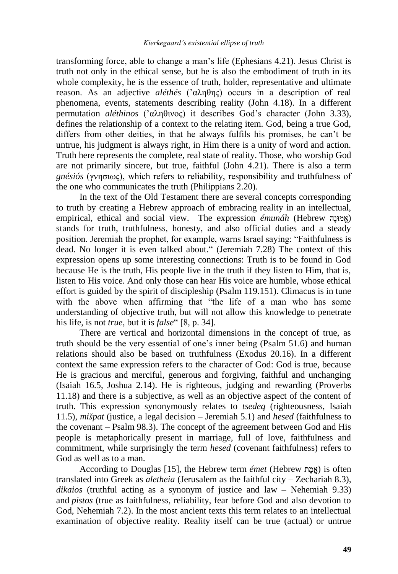transforming force, able to change a man's life (Ephesians 4.21). Jesus Christ is truth not only in the ethical sense, but he is also the embodiment of truth in its whole complexity, he is the essence of truth, holder, representative and ultimate reason. As an adjective *aléthés* ('αληθης) occurs in a description of real phenomena, events, statements describing reality (John 4.18). In a different permutation *aléthinos* ('αληθινος) it describes God's character (John 3.33), defines the relationship of a context to the relating item. God, being a true God, differs from other deities, in that he always fulfils his promises, he can't be untrue, his judgment is always right, in Him there is a unity of word and action. Truth here represents the complete, real state of reality. Those, who worship God are not primarily sincere, but true, faithful (John 4.21). There is also a term *gnésiós* (γνησιως), which refers to reliability, responsibility and truthfulness of the one who communicates the truth (Philippians 2.20).

In the text of the Old Testament there are several concepts corresponding to truth by creating a Hebrew approach of embracing reality in an intellectual, empirical, ethical and social view. The expression  $émunáh$  (Hebrew )) stands for truth, truthfulness, honesty, and also official duties and a steady position. Jeremiah the prophet, for example, warns Israel saying: "Faithfulness is dead. No longer it is even talked about." (Jeremiah 7.28) The context of this expression opens up some interesting connections: Truth is to be found in God because He is the truth, His people live in the truth if they listen to Him, that is, listen to His voice. And only those can hear His voice are humble, whose ethical effort is guided by the spirit of discipleship (Psalm 119.151). Climacus is in tune with the above when affirming that "the life of a man who has some understanding of objective truth, but will not allow this knowledge to penetrate his life, is not *true*, but it is *false*" [8, p. 34].

There are vertical and horizontal dimensions in the concept of true, as truth should be the very essential of one's inner being (Psalm 51.6) and human relations should also be based on truthfulness (Exodus 20.16). In a different context the same expression refers to the character of God: God is true, because He is gracious and merciful, generous and forgiving, faithful and unchanging (Isaiah 16.5, Joshua 2.14). He is righteous, judging and rewarding (Proverbs 11.18) and there is a subjective, as well as an objective aspect of the content of truth. This expression synonymously relates to *tsedeq* (righteousness, Isaiah 11.5), *mišpat* (justice, a legal decision – Jeremiah 5.1) and *hesed* (faithfulness to the covenant – Psalm 98.3). The concept of the agreement between God and His people is metaphorically present in marriage, full of love, faithfulness and commitment, while surprisingly the term *hesed* (covenant faithfulness) refers to God as well as to a man.

According to Douglas [15], the Hebrew term *émet* (Hebrew ) is often translated into Greek as *aletheia* (Jerusalem as the faithful city – Zechariah 8.3), *dikaios* (truthful acting as a synonym of justice and law – Nehemiah 9.33) and *pistos* (true as faithfulness, reliability, fear before God and also devotion to God, Nehemiah 7.2). In the most ancient texts this term relates to an intellectual examination of objective reality. Reality itself can be true (actual) or untrue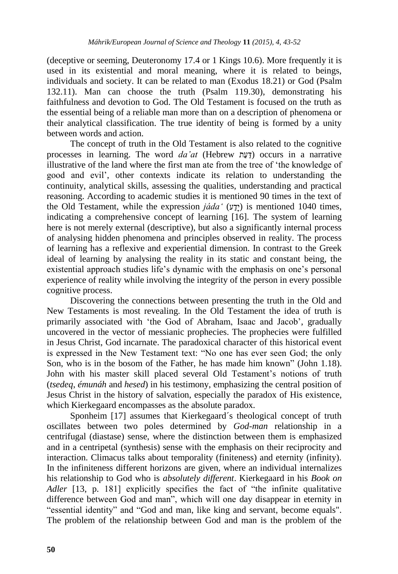(deceptive or seeming, Deuteronomy 17.4 or 1 Kings 10.6). More frequently it is used in its existential and moral meaning, where it is related to beings, individuals and society. It can be related to man (Exodus 18.21) or God (Psalm 132.11). Man can choose the truth (Psalm 119.30), demonstrating his faithfulness and devotion to God. The Old Testament is focused on the truth as the essential being of a reliable man more than on a description of phenomena or their analytical classification. The true identity of being is formed by a unity between words and action.

The concept of truth in the Old Testament is also related to the cognitive processes in learning. The word *da'at* (Hebrew ) occurs in a narrative illustrative of the land where the first man ate from the tree of 'the knowledge of good and evil', other contexts indicate its relation to understanding the continuity, analytical skills, assessing the qualities, understanding and practical reasoning. According to academic studies it is mentioned 90 times in the text of the Old Testament, while the expression  $j\ddot{\alpha}da'$  ( $y\ddot{\gamma}$ ) is mentioned 1040 times, indicating a comprehensive concept of learning [16]. The system of learning here is not merely external (descriptive), but also a significantly internal process of analysing hidden phenomena and principles observed in reality. The process of learning has a reflexive and experiential dimension. In contrast to the Greek ideal of learning by analysing the reality in its static and constant being, the existential approach studies life's dynamic with the emphasis on one's personal experience of reality while involving the integrity of the person in every possible cognitive process.

Discovering the connections between presenting the truth in the Old and New Testaments is most revealing. In the Old Testament the idea of truth is primarily associated with 'the God of Abraham, Isaac and Jacob', gradually uncovered in the vector of messianic prophecies. The prophecies were fulfilled in Jesus Christ, God incarnate. The paradoxical character of this historical event is expressed in the New Testament text: "No one has ever seen God; the only Son, who is in the bosom of the Father, he has made him known" (John 1.18). John with his master skill placed several Old Testament's notions of truth (*tsedeq*, *émunáh* and *hesed*) in his testimony, emphasizing the central position of Jesus Christ in the history of salvation, especially the paradox of His existence, which Kierkegaard encompasses as the absolute paradox.

Sponheim [17] assumes that Kierkegaard´s theological concept of truth oscillates between two poles determined by *God-man* relationship in a centrifugal (diastase) sense, where the distinction between them is emphasized and in a centripetal (synthesis) sense with the emphasis on their reciprocity and interaction. Climacus talks about temporality (finiteness) and eternity (infinity). In the infiniteness different horizons are given, where an individual internalizes his relationship to God who is *absolutely different*. Kierkegaard in his *Book on Adler* [13, p. 181] explicitly specifies the fact of "the infinite qualitative difference between God and man", which will one day disappear in eternity in "essential identity" and "God and man, like king and servant, become equals". The problem of the relationship between God and man is the problem of the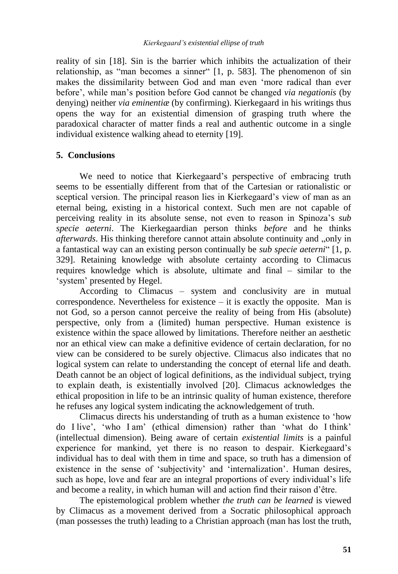reality of sin [18]. Sin is the barrier which inhibits the actualization of their relationship, as "man becomes a sinner"  $[1, p. 583]$ . The phenomenon of sin makes the dissimilarity between God and man even 'more radical than ever before', while man's position before God cannot be changed *via negationis* (by denying) neither *via eminentiæ* (by confirming). Kierkegaard in his writings thus opens the way for an existential dimension of grasping truth where the paradoxical character of matter finds a real and authentic outcome in a single individual existence walking ahead to eternity [19].

## **5. Conclusions**

We need to notice that Kierkegaard's perspective of embracing truth seems to be essentially different from that of the Cartesian or rationalistic or sceptical version. The principal reason lies in Kierkegaard's view of man as an eternal being, existing in a historical context. Such men are not capable of perceiving reality in its absolute sense, not even to reason in Spinoza's *sub specie aeterni*. The Kierkegaardian person thinks *before* and he thinks *afterwards*. His thinking therefore cannot attain absolute continuity and "only in a fantastical way can an existing person continually be *sub specie aeterni* "[1, p. 329]. Retaining knowledge with absolute certainty according to Climacus requires knowledge which is absolute, ultimate and final – similar to the ‗system' presented by Hegel.

According to Climacus – system and conclusivity are in mutual correspondence. Nevertheless for existence – it is exactly the opposite. Man is not God, so a person cannot perceive the reality of being from His (absolute) perspective, only from a (limited) human perspective. Human existence is existence within the space allowed by limitations. Therefore neither an aesthetic nor an ethical view can make a definitive evidence of certain declaration, for no view can be considered to be surely objective. Climacus also indicates that no logical system can relate to understanding the concept of eternal life and death. Death cannot be an object of logical definitions, as the individual subject, trying to explain death, is existentially involved [20]. Climacus acknowledges the ethical proposition in life to be an intrinsic quality of human existence, therefore he refuses any logical system indicating the acknowledgement of truth.

Climacus directs his understanding of truth as a human existence to 'how do I live', ‗who I am' (ethical dimension) rather than ‗what do I think' (intellectual dimension). Being aware of certain *existential limits* is a painful experience for mankind, yet there is no reason to despair. Kierkegaard's individual has to deal with them in time and space, so truth has a dimension of existence in the sense of 'subjectivity' and 'internalization'. Human desires, such as hope, love and fear are an integral proportions of every individual's life and become a reality, in which human will and action find their raison d'être.

The epistemological problem whether *the truth can be learned* is viewed by Climacus as a movement derived from a Socratic philosophical approach (man possesses the truth) leading to a Christian approach (man has lost the truth,